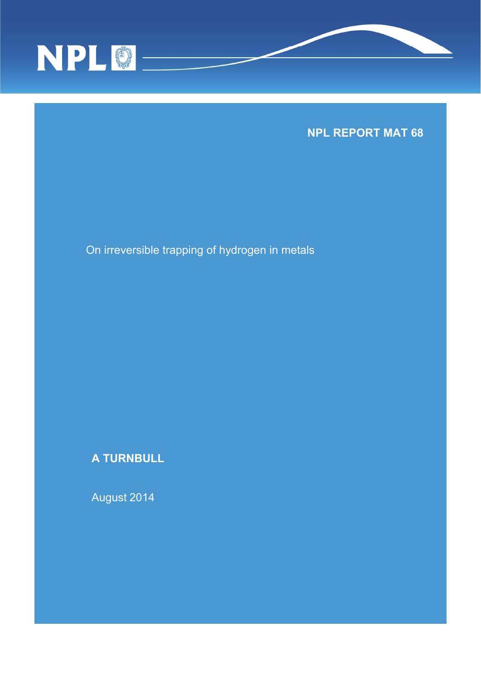



On irreversible trapping of hydrogen in metals

**A TURNBULL** 

August 2014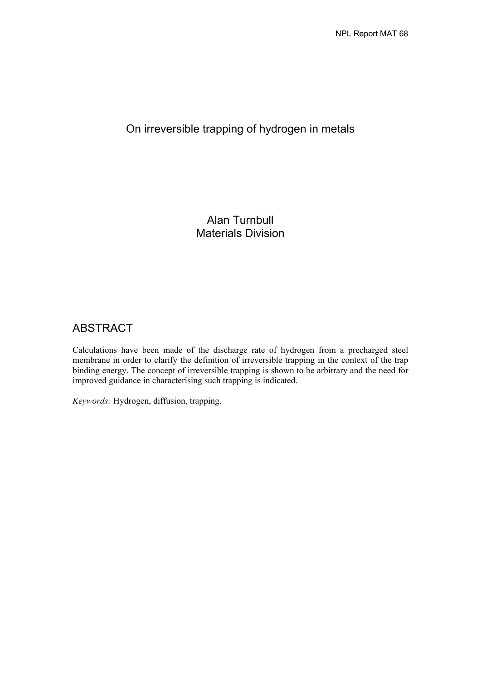# On irreversible trapping of hydrogen in metals

Alan Turnbull Materials Division

# ABSTRACT

Calculations have been made of the discharge rate of hydrogen from a precharged steel membrane in order to clarify the definition of irreversible trapping in the context of the trap binding energy. The concept of irreversible trapping is shown to be arbitrary and the need for improved guidance in characterising such trapping is indicated.

*Keywords:* Hydrogen, diffusion, trapping.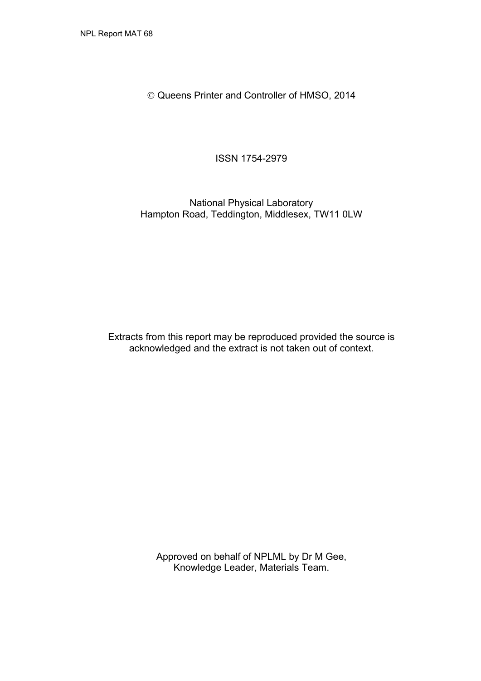Queens Printer and Controller of HMSO, 2014

ISSN 1754-2979

National Physical Laboratory Hampton Road, Teddington, Middlesex, TW11 0LW

Extracts from this report may be reproduced provided the source is acknowledged and the extract is not taken out of context.

> Approved on behalf of NPLML by Dr M Gee, Knowledge Leader, Materials Team.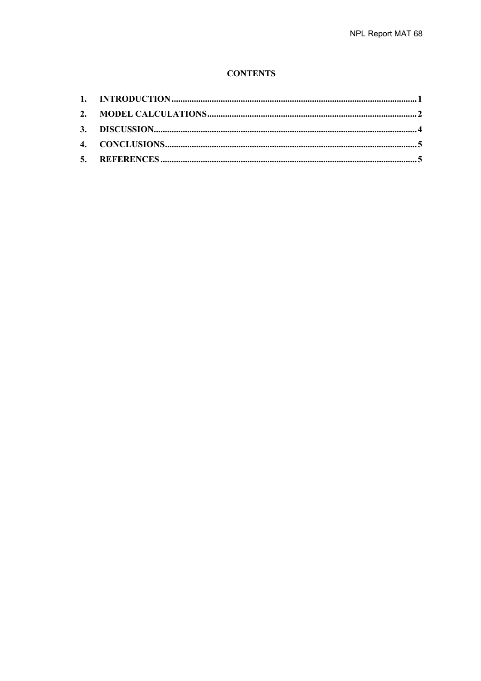## **CONTENTS**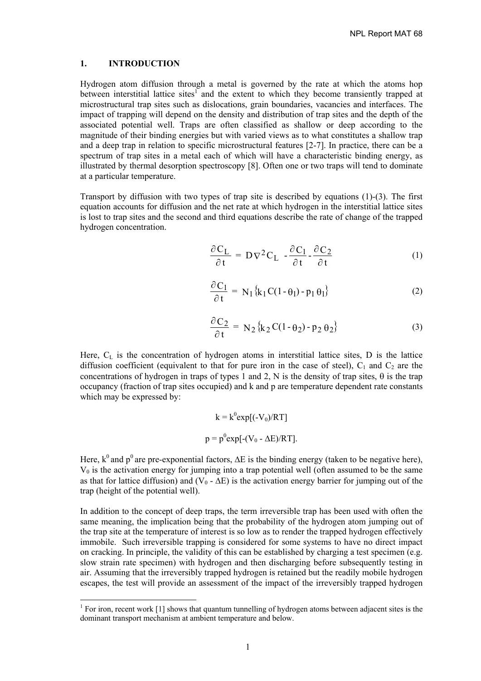#### **1. INTRODUCTION**

l

Hydrogen atom diffusion through a metal is governed by the rate at which the atoms hop between interstitial lattice sites<sup>1</sup> and the extent to which they become transiently trapped at microstructural trap sites such as dislocations, grain boundaries, vacancies and interfaces. The impact of trapping will depend on the density and distribution of trap sites and the depth of the associated potential well. Traps are often classified as shallow or deep according to the magnitude of their binding energies but with varied views as to what constitutes a shallow trap and a deep trap in relation to specific microstructural features [2-7]. In practice, there can be a spectrum of trap sites in a metal each of which will have a characteristic binding energy, as illustrated by thermal desorption spectroscopy [8]. Often one or two traps will tend to dominate at a particular temperature.

Transport by diffusion with two types of trap site is described by equations (1)-(3). The first equation accounts for diffusion and the net rate at which hydrogen in the interstitial lattice sites is lost to trap sites and the second and third equations describe the rate of change of the trapped hydrogen concentration.

$$
\frac{\partial C_L}{\partial t} = D \nabla^2 C_L - \frac{\partial C_1}{\partial t} - \frac{\partial C_2}{\partial t}
$$
 (1)

$$
\frac{\partial C_1}{\partial t} = N_1 \{ k_1 C (1 - \theta_1) - p_1 \theta_1 \}
$$
 (2)

$$
\frac{\partial C_2}{\partial t} = N_2 \{ k_2 C (1 - \theta_2) - p_2 \theta_2 \}
$$
 (3)

Here, C<sub>L</sub> is the concentration of hydrogen atoms in interstitial lattice sites, D is the lattice diffusion coefficient (equivalent to that for pure iron in the case of steel),  $C_1$  and  $C_2$  are the concentrations of hydrogen in traps of types 1 and 2, N is the density of trap sites,  $\theta$  is the trap occupancy (fraction of trap sites occupied) and k and p are temperature dependent rate constants which may be expressed by:

$$
k = k^{0} exp[(-V_{0})/RT]
$$

$$
p = p^{0} exp[-(V_{0} - \Delta E)/RT].
$$

Here,  $k^0$  and  $p^0$  are pre-exponential factors,  $\Delta E$  is the binding energy (taken to be negative here),  $V_0$  is the activation energy for jumping into a trap potential well (often assumed to be the same as that for lattice diffusion) and  $(V_0 - \Delta E)$  is the activation energy barrier for jumping out of the trap (height of the potential well).

In addition to the concept of deep traps, the term irreversible trap has been used with often the same meaning, the implication being that the probability of the hydrogen atom jumping out of the trap site at the temperature of interest is so low as to render the trapped hydrogen effectively immobile. Such irreversible trapping is considered for some systems to have no direct impact on cracking. In principle, the validity of this can be established by charging a test specimen (e.g. slow strain rate specimen) with hydrogen and then discharging before subsequently testing in air. Assuming that the irreversibly trapped hydrogen is retained but the readily mobile hydrogen escapes, the test will provide an assessment of the impact of the irreversibly trapped hydrogen

<sup>&</sup>lt;sup>1</sup> For iron, recent work [1] shows that quantum tunnelling of hydrogen atoms between adjacent sites is the dominant transport mechanism at ambient temperature and below.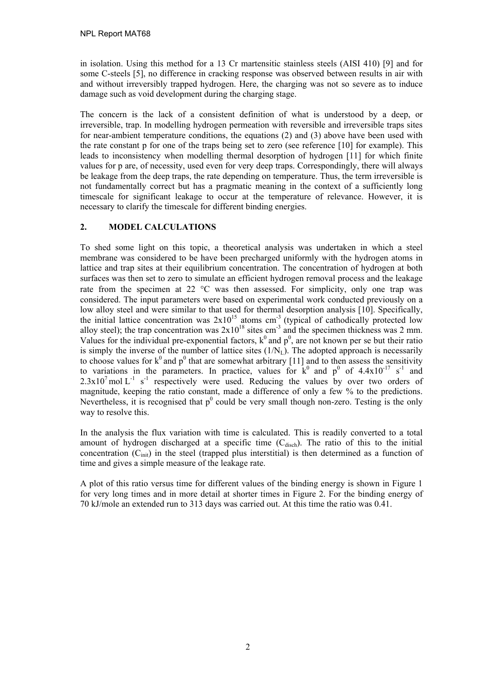in isolation. Using this method for a 13 Cr martensitic stainless steels (AISI 410) [9] and for some C-steels [5], no difference in cracking response was observed between results in air with and without irreversibly trapped hydrogen. Here, the charging was not so severe as to induce damage such as void development during the charging stage.

The concern is the lack of a consistent definition of what is understood by a deep, or irreversible, trap. In modelling hydrogen permeation with reversible and irreversible traps sites for near-ambient temperature conditions, the equations (2) and (3) above have been used with the rate constant p for one of the traps being set to zero (see reference [10] for example). This leads to inconsistency when modelling thermal desorption of hydrogen [11] for which finite values for p are, of necessity, used even for very deep traps. Correspondingly, there will always be leakage from the deep traps, the rate depending on temperature. Thus, the term irreversible is not fundamentally correct but has a pragmatic meaning in the context of a sufficiently long timescale for significant leakage to occur at the temperature of relevance. However, it is necessary to clarify the timescale for different binding energies.

## **2. MODEL CALCULATIONS**

To shed some light on this topic, a theoretical analysis was undertaken in which a steel membrane was considered to be have been precharged uniformly with the hydrogen atoms in lattice and trap sites at their equilibrium concentration. The concentration of hydrogen at both surfaces was then set to zero to simulate an efficient hydrogen removal process and the leakage rate from the specimen at 22  $^{\circ}$ C was then assessed. For simplicity, only one trap was considered. The input parameters were based on experimental work conducted previously on a low alloy steel and were similar to that used for thermal desorption analysis [10]. Specifically, the initial lattice concentration was  $2x10^{15}$  atoms cm<sup>-3</sup> (typical of cathodically protected low alloy steel); the trap concentration was  $2x10^{18}$  sites cm<sup>-3</sup> and the specimen thickness was 2 mm. Values for the individual pre-exponential factors,  $k^0$  and  $p^0$ , are not known per se but their ratio is simply the inverse of the number of lattice sites  $(1/N<sub>L</sub>)$ . The adopted approach is necessarily to choose values for  $k^0$  and  $p^0$  that are somewhat arbitrary [11] and to then assess the sensitivity to variations in the parameters. In practice, values for  $k^0$  and  $p^0$  of 4.4x10<sup>-17</sup> s<sup>-1</sup> and  $2.3x10^7$  mol L<sup>-1</sup> s<sup>-1</sup> respectively were used. Reducing the values by over two orders of magnitude, keeping the ratio constant, made a difference of only a few % to the predictions. Nevertheless, it is recognised that  $p^0$  could be very small though non-zero. Testing is the only way to resolve this.

In the analysis the flux variation with time is calculated. This is readily converted to a total amount of hydrogen discharged at a specific time  $(C_{\text{disch}})$ . The ratio of this to the initial concentration  $(C_{init})$  in the steel (trapped plus interstitial) is then determined as a function of time and gives a simple measure of the leakage rate.

A plot of this ratio versus time for different values of the binding energy is shown in Figure 1 for very long times and in more detail at shorter times in Figure 2. For the binding energy of 70 kJ/mole an extended run to 313 days was carried out. At this time the ratio was 0.41.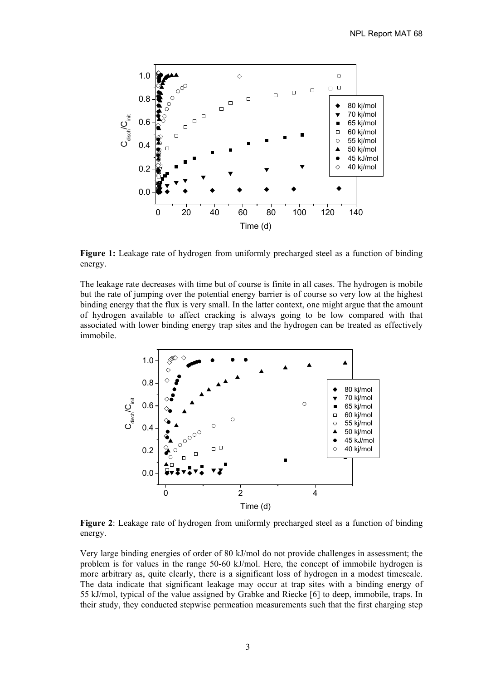

**Figure 1:** Leakage rate of hydrogen from uniformly precharged steel as a function of binding energy.

The leakage rate decreases with time but of course is finite in all cases. The hydrogen is mobile but the rate of jumping over the potential energy barrier is of course so very low at the highest binding energy that the flux is very small. In the latter context, one might argue that the amount of hydrogen available to affect cracking is always going to be low compared with that associated with lower binding energy trap sites and the hydrogen can be treated as effectively immobile.



**Figure 2**: Leakage rate of hydrogen from uniformly precharged steel as a function of binding energy.

Very large binding energies of order of 80 kJ/mol do not provide challenges in assessment; the problem is for values in the range 50-60 kJ/mol. Here, the concept of immobile hydrogen is more arbitrary as, quite clearly, there is a significant loss of hydrogen in a modest timescale. The data indicate that significant leakage may occur at trap sites with a binding energy of 55 kJ/mol, typical of the value assigned by Grabke and Riecke [6] to deep, immobile, traps. In their study, they conducted stepwise permeation measurements such that the first charging step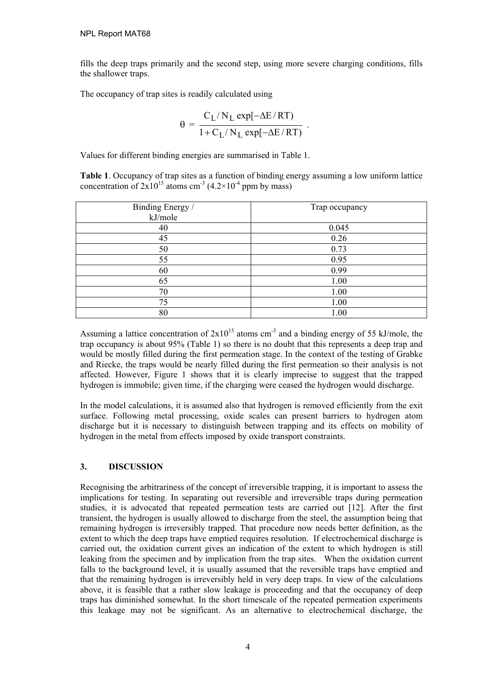fills the deep traps primarily and the second step, using more severe charging conditions, fills the shallower traps.

The occupancy of trap sites is readily calculated using

$$
\theta = \frac{C_L / N_L \exp[-\Delta E/RT)}{1 + C_L / N_L \exp[-\Delta E/RT)}.
$$

Values for different binding energies are summarised in Table 1.

**Table 1**. Occupancy of trap sites as a function of binding energy assuming a low uniform lattice concentration of  $2x10^{15}$  atoms cm<sup>-3</sup> (4.2×10<sup>-4</sup> ppm by mass)

| Binding Energy /<br>kJ/mole | Trap occupancy |
|-----------------------------|----------------|
| 40                          | 0.045          |
| 45                          | 0.26           |
| 50                          | 0.73           |
| 55                          | 0.95           |
| 60                          | 0.99           |
| 65                          | 1.00           |
| 70                          | 1.00           |
| 75                          | 1.00           |
| 80                          | 1.00           |

Assuming a lattice concentration of  $2x10^{15}$  atoms cm<sup>-3</sup> and a binding energy of 55 kJ/mole, the trap occupancy is about 95% (Table 1) so there is no doubt that this represents a deep trap and would be mostly filled during the first permeation stage. In the context of the testing of Grabke and Riecke, the traps would be nearly filled during the first permeation so their analysis is not affected. However, Figure 1 shows that it is clearly imprecise to suggest that the trapped hydrogen is immobile; given time, if the charging were ceased the hydrogen would discharge.

In the model calculations, it is assumed also that hydrogen is removed efficiently from the exit surface. Following metal processing, oxide scales can present barriers to hydrogen atom discharge but it is necessary to distinguish between trapping and its effects on mobility of hydrogen in the metal from effects imposed by oxide transport constraints.

## **3. DISCUSSION**

Recognising the arbitrariness of the concept of irreversible trapping, it is important to assess the implications for testing. In separating out reversible and irreversible traps during permeation studies, it is advocated that repeated permeation tests are carried out [12]. After the first transient, the hydrogen is usually allowed to discharge from the steel, the assumption being that remaining hydrogen is irreversibly trapped. That procedure now needs better definition, as the extent to which the deep traps have emptied requires resolution. If electrochemical discharge is carried out, the oxidation current gives an indication of the extent to which hydrogen is still leaking from the specimen and by implication from the trap sites. When the oxidation current falls to the background level, it is usually assumed that the reversible traps have emptied and that the remaining hydrogen is irreversibly held in very deep traps. In view of the calculations above, it is feasible that a rather slow leakage is proceeding and that the occupancy of deep traps has diminished somewhat. In the short timescale of the repeated permeation experiments this leakage may not be significant. As an alternative to electrochemical discharge, the